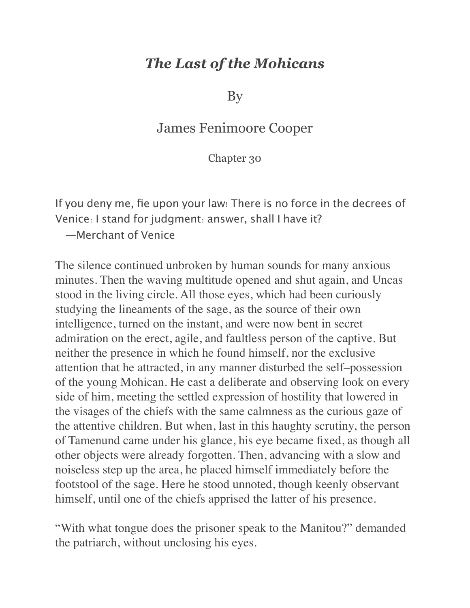## *The Last of the Mohicans*

By

## James Fenimoore Cooper

Chapter 30

If you deny me, fie upon your law! There is no force in the decrees of Venice: I stand for judgment: answer, shall I have it?

—Merchant of Venice

The silence continued unbroken by human sounds for many anxious minutes. Then the waving multitude opened and shut again, and Uncas stood in the living circle. All those eyes, which had been curiously studying the lineaments of the sage, as the source of their own intelligence, turned on the instant, and were now bent in secret admiration on the erect, agile, and faultless person of the captive. But neither the presence in which he found himself, nor the exclusive attention that he attracted, in any manner disturbed the self–possession of the young Mohican. He cast a deliberate and observing look on every side of him, meeting the settled expression of hostility that lowered in the visages of the chiefs with the same calmness as the curious gaze of the attentive children. But when, last in this haughty scrutiny, the person of Tamenund came under his glance, his eye became fixed, as though all other objects were already forgotten. Then, advancing with a slow and noiseless step up the area, he placed himself immediately before the footstool of the sage. Here he stood unnoted, though keenly observant himself, until one of the chiefs apprised the latter of his presence.

"With what tongue does the prisoner speak to the Manitou?" demanded the patriarch, without unclosing his eyes.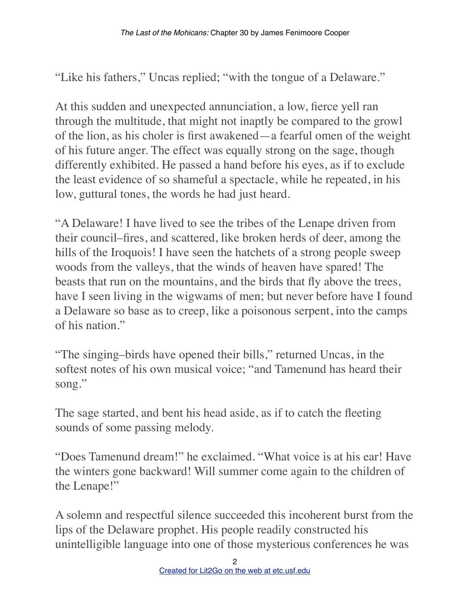"Like his fathers," Uncas replied; "with the tongue of a Delaware."

At this sudden and unexpected annunciation, a low, fierce yell ran through the multitude, that might not inaptly be compared to the growl of the lion, as his choler is first awakened—a fearful omen of the weight of his future anger. The effect was equally strong on the sage, though differently exhibited. He passed a hand before his eyes, as if to exclude the least evidence of so shameful a spectacle, while he repeated, in his low, guttural tones, the words he had just heard.

"A Delaware! I have lived to see the tribes of the Lenape driven from their council–fires, and scattered, like broken herds of deer, among the hills of the Iroquois! I have seen the hatchets of a strong people sweep woods from the valleys, that the winds of heaven have spared! The beasts that run on the mountains, and the birds that fly above the trees, have I seen living in the wigwams of men; but never before have I found a Delaware so base as to creep, like a poisonous serpent, into the camps of his nation."

"The singing–birds have opened their bills," returned Uncas, in the softest notes of his own musical voice; "and Tamenund has heard their song."

The sage started, and bent his head aside, as if to catch the fleeting sounds of some passing melody.

"Does Tamenund dream!" he exclaimed. "What voice is at his ear! Have the winters gone backward! Will summer come again to the children of the Lenape!"

A solemn and respectful silence succeeded this incoherent burst from the lips of the Delaware prophet. His people readily constructed his unintelligible language into one of those mysterious conferences he was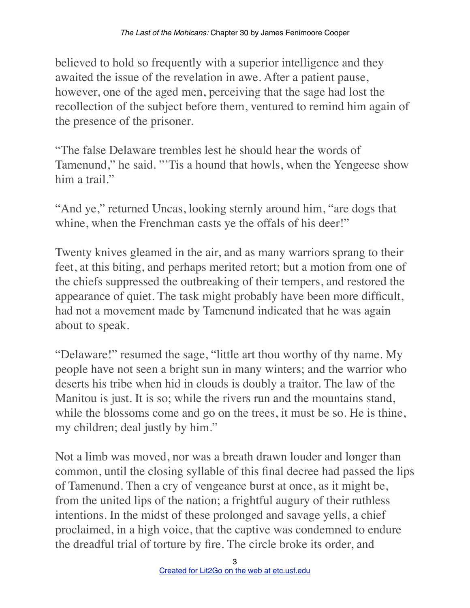believed to hold so frequently with a superior intelligence and they awaited the issue of the revelation in awe. After a patient pause, however, one of the aged men, perceiving that the sage had lost the recollection of the subject before them, ventured to remind him again of the presence of the prisoner.

"The false Delaware trembles lest he should hear the words of Tamenund," he said. "'Tis a hound that howls, when the Yengeese show him a trail."

"And ye," returned Uncas, looking sternly around him, "are dogs that whine, when the Frenchman casts ye the offals of his deer!"

Twenty knives gleamed in the air, and as many warriors sprang to their feet, at this biting, and perhaps merited retort; but a motion from one of the chiefs suppressed the outbreaking of their tempers, and restored the appearance of quiet. The task might probably have been more difficult, had not a movement made by Tamenund indicated that he was again about to speak.

"Delaware!" resumed the sage, "little art thou worthy of thy name. My people have not seen a bright sun in many winters; and the warrior who deserts his tribe when hid in clouds is doubly a traitor. The law of the Manitou is just. It is so; while the rivers run and the mountains stand, while the blossoms come and go on the trees, it must be so. He is thine, my children; deal justly by him."

Not a limb was moved, nor was a breath drawn louder and longer than common, until the closing syllable of this final decree had passed the lips of Tamenund. Then a cry of vengeance burst at once, as it might be, from the united lips of the nation; a frightful augury of their ruthless intentions. In the midst of these prolonged and savage yells, a chief proclaimed, in a high voice, that the captive was condemned to endure the dreadful trial of torture by fire. The circle broke its order, and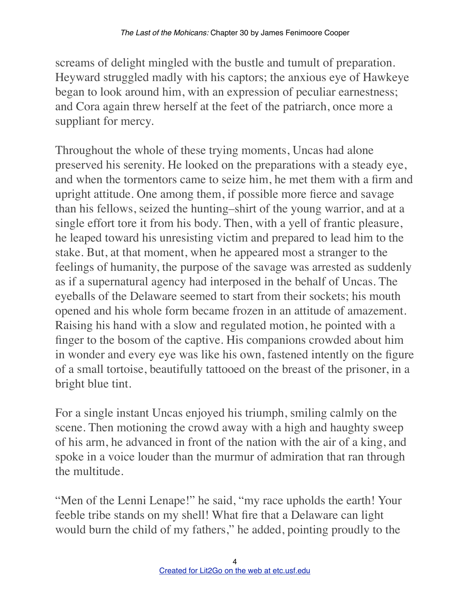screams of delight mingled with the bustle and tumult of preparation. Heyward struggled madly with his captors; the anxious eye of Hawkeye began to look around him, with an expression of peculiar earnestness; and Cora again threw herself at the feet of the patriarch, once more a suppliant for mercy.

Throughout the whole of these trying moments, Uncas had alone preserved his serenity. He looked on the preparations with a steady eye, and when the tormentors came to seize him, he met them with a firm and upright attitude. One among them, if possible more fierce and savage than his fellows, seized the hunting–shirt of the young warrior, and at a single effort tore it from his body. Then, with a yell of frantic pleasure, he leaped toward his unresisting victim and prepared to lead him to the stake. But, at that moment, when he appeared most a stranger to the feelings of humanity, the purpose of the savage was arrested as suddenly as if a supernatural agency had interposed in the behalf of Uncas. The eyeballs of the Delaware seemed to start from their sockets; his mouth opened and his whole form became frozen in an attitude of amazement. Raising his hand with a slow and regulated motion, he pointed with a finger to the bosom of the captive. His companions crowded about him in wonder and every eye was like his own, fastened intently on the figure of a small tortoise, beautifully tattooed on the breast of the prisoner, in a bright blue tint.

For a single instant Uncas enjoyed his triumph, smiling calmly on the scene. Then motioning the crowd away with a high and haughty sweep of his arm, he advanced in front of the nation with the air of a king, and spoke in a voice louder than the murmur of admiration that ran through the multitude.

"Men of the Lenni Lenape!" he said, "my race upholds the earth! Your feeble tribe stands on my shell! What fire that a Delaware can light would burn the child of my fathers," he added, pointing proudly to the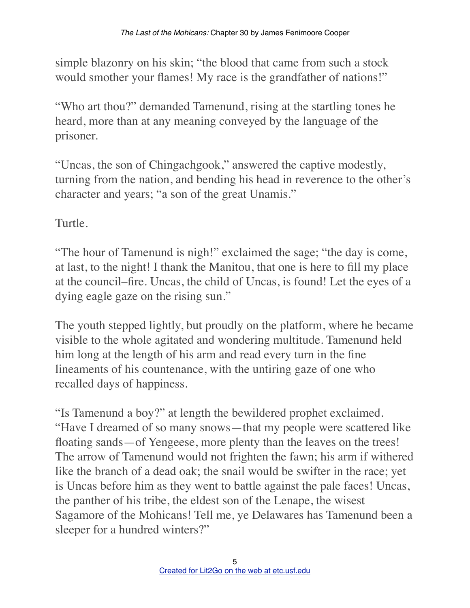simple blazonry on his skin; "the blood that came from such a stock would smother your flames! My race is the grandfather of nations!"

"Who art thou?" demanded Tamenund, rising at the startling tones he heard, more than at any meaning conveyed by the language of the prisoner.

"Uncas, the son of Chingachgook," answered the captive modestly, turning from the nation, and bending his head in reverence to the other's character and years; "a son of the great Unamis."

Turtle.

"The hour of Tamenund is nigh!" exclaimed the sage; "the day is come, at last, to the night! I thank the Manitou, that one is here to fill my place at the council–fire. Uncas, the child of Uncas, is found! Let the eyes of a dying eagle gaze on the rising sun."

The youth stepped lightly, but proudly on the platform, where he became visible to the whole agitated and wondering multitude. Tamenund held him long at the length of his arm and read every turn in the fine lineaments of his countenance, with the untiring gaze of one who recalled days of happiness.

"Is Tamenund a boy?" at length the bewildered prophet exclaimed. "Have I dreamed of so many snows—that my people were scattered like floating sands—of Yengeese, more plenty than the leaves on the trees! The arrow of Tamenund would not frighten the fawn; his arm if withered like the branch of a dead oak; the snail would be swifter in the race; yet is Uncas before him as they went to battle against the pale faces! Uncas, the panther of his tribe, the eldest son of the Lenape, the wisest Sagamore of the Mohicans! Tell me, ye Delawares has Tamenund been a sleeper for a hundred winters?"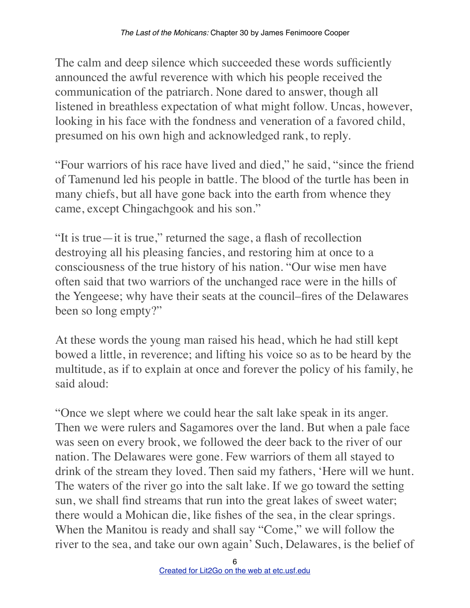The calm and deep silence which succeeded these words sufficiently announced the awful reverence with which his people received the communication of the patriarch. None dared to answer, though all listened in breathless expectation of what might follow. Uncas, however, looking in his face with the fondness and veneration of a favored child, presumed on his own high and acknowledged rank, to reply.

"Four warriors of his race have lived and died," he said, "since the friend of Tamenund led his people in battle. The blood of the turtle has been in many chiefs, but all have gone back into the earth from whence they came, except Chingachgook and his son."

"It is true—it is true," returned the sage, a flash of recollection destroying all his pleasing fancies, and restoring him at once to a consciousness of the true history of his nation. "Our wise men have often said that two warriors of the unchanged race were in the hills of the Yengeese; why have their seats at the council–fires of the Delawares been so long empty?"

At these words the young man raised his head, which he had still kept bowed a little, in reverence; and lifting his voice so as to be heard by the multitude, as if to explain at once and forever the policy of his family, he said aloud:

"Once we slept where we could hear the salt lake speak in its anger. Then we were rulers and Sagamores over the land. But when a pale face was seen on every brook, we followed the deer back to the river of our nation. The Delawares were gone. Few warriors of them all stayed to drink of the stream they loved. Then said my fathers, 'Here will we hunt. The waters of the river go into the salt lake. If we go toward the setting sun, we shall find streams that run into the great lakes of sweet water; there would a Mohican die, like fishes of the sea, in the clear springs. When the Manitou is ready and shall say "Come," we will follow the river to the sea, and take our own again' Such, Delawares, is the belief of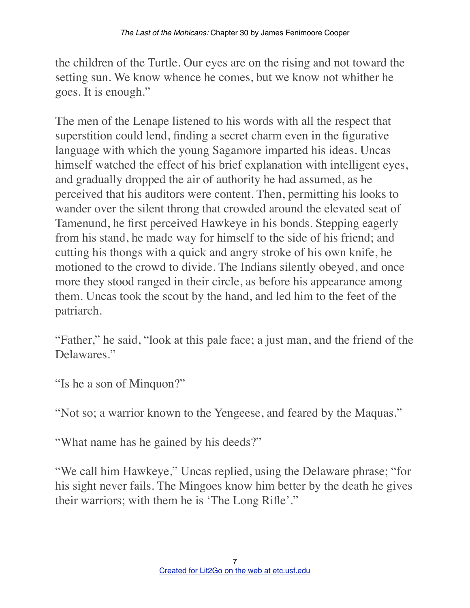the children of the Turtle. Our eyes are on the rising and not toward the setting sun. We know whence he comes, but we know not whither he goes. It is enough."

The men of the Lenape listened to his words with all the respect that superstition could lend, finding a secret charm even in the figurative language with which the young Sagamore imparted his ideas. Uncas himself watched the effect of his brief explanation with intelligent eyes, and gradually dropped the air of authority he had assumed, as he perceived that his auditors were content. Then, permitting his looks to wander over the silent throng that crowded around the elevated seat of Tamenund, he first perceived Hawkeye in his bonds. Stepping eagerly from his stand, he made way for himself to the side of his friend; and cutting his thongs with a quick and angry stroke of his own knife, he motioned to the crowd to divide. The Indians silently obeyed, and once more they stood ranged in their circle, as before his appearance among them. Uncas took the scout by the hand, and led him to the feet of the patriarch.

"Father," he said, "look at this pale face; a just man, and the friend of the Delawares."

"Is he a son of Minquon?"

"Not so; a warrior known to the Yengeese, and feared by the Maquas."

"What name has he gained by his deeds?"

"We call him Hawkeye," Uncas replied, using the Delaware phrase; "for his sight never fails. The Mingoes know him better by the death he gives their warriors; with them he is 'The Long Rifle'."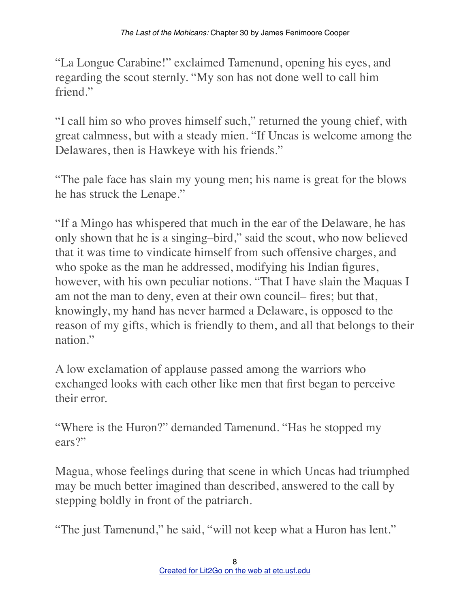"La Longue Carabine!" exclaimed Tamenund, opening his eyes, and regarding the scout sternly. "My son has not done well to call him friend."

"I call him so who proves himself such," returned the young chief, with great calmness, but with a steady mien. "If Uncas is welcome among the Delawares, then is Hawkeye with his friends."

"The pale face has slain my young men; his name is great for the blows he has struck the Lenape."

"If a Mingo has whispered that much in the ear of the Delaware, he has only shown that he is a singing–bird," said the scout, who now believed that it was time to vindicate himself from such offensive charges, and who spoke as the man he addressed, modifying his Indian figures, however, with his own peculiar notions. "That I have slain the Maquas I am not the man to deny, even at their own council– fires; but that, knowingly, my hand has never harmed a Delaware, is opposed to the reason of my gifts, which is friendly to them, and all that belongs to their nation"

A low exclamation of applause passed among the warriors who exchanged looks with each other like men that first began to perceive their error.

"Where is the Huron?" demanded Tamenund. "Has he stopped my ears?"

Magua, whose feelings during that scene in which Uncas had triumphed may be much better imagined than described, answered to the call by stepping boldly in front of the patriarch.

"The just Tamenund," he said, "will not keep what a Huron has lent."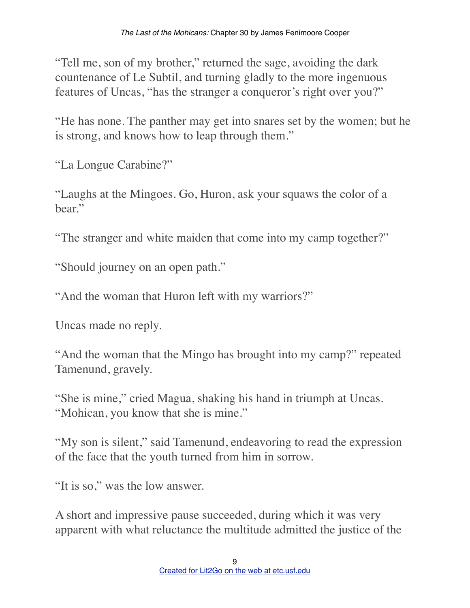"Tell me, son of my brother," returned the sage, avoiding the dark countenance of Le Subtil, and turning gladly to the more ingenuous features of Uncas, "has the stranger a conqueror's right over you?"

"He has none. The panther may get into snares set by the women; but he is strong, and knows how to leap through them."

"La Longue Carabine?"

"Laughs at the Mingoes. Go, Huron, ask your squaws the color of a hear"

"The stranger and white maiden that come into my camp together?"

"Should journey on an open path."

"And the woman that Huron left with my warriors?"

Uncas made no reply.

"And the woman that the Mingo has brought into my camp?" repeated Tamenund, gravely.

"She is mine," cried Magua, shaking his hand in triumph at Uncas. "Mohican, you know that she is mine."

"My son is silent," said Tamenund, endeavoring to read the expression of the face that the youth turned from him in sorrow.

"It is so," was the low answer.

A short and impressive pause succeeded, during which it was very apparent with what reluctance the multitude admitted the justice of the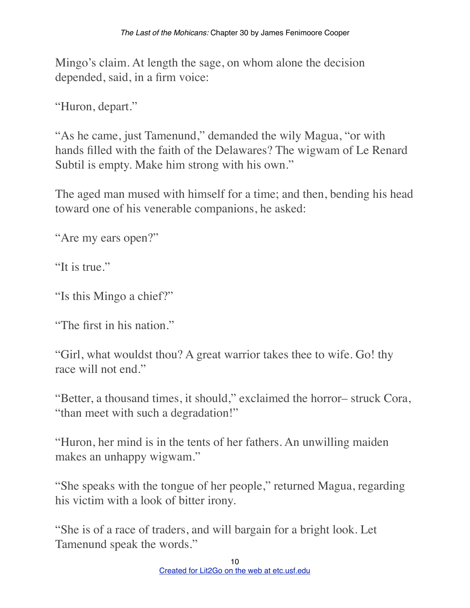Mingo's claim. At length the sage, on whom alone the decision depended, said, in a firm voice:

"Huron, depart."

"As he came, just Tamenund," demanded the wily Magua, "or with hands filled with the faith of the Delawares? The wigwam of Le Renard Subtil is empty. Make him strong with his own."

The aged man mused with himself for a time; and then, bending his head toward one of his venerable companions, he asked:

"Are my ears open?"

"It is true."

"Is this Mingo a chief?"

"The first in his nation."

"Girl, what wouldst thou? A great warrior takes thee to wife. Go! thy race will not end."

"Better, a thousand times, it should," exclaimed the horror– struck Cora, "than meet with such a degradation!"

"Huron, her mind is in the tents of her fathers. An unwilling maiden makes an unhappy wigwam."

"She speaks with the tongue of her people," returned Magua, regarding his victim with a look of bitter irony.

"She is of a race of traders, and will bargain for a bright look. Let Tamenund speak the words."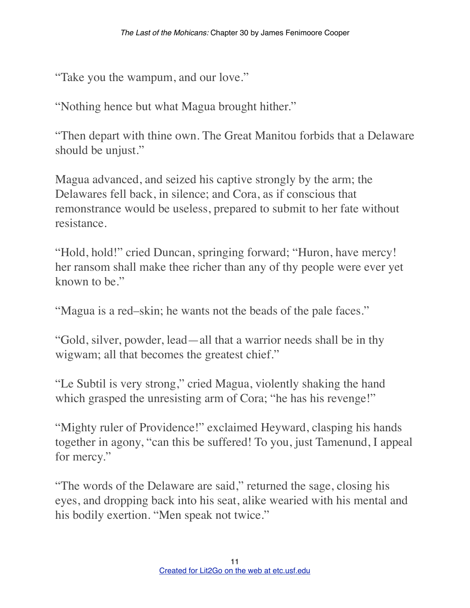"Take you the wampum, and our love."

"Nothing hence but what Magua brought hither."

"Then depart with thine own. The Great Manitou forbids that a Delaware should be unjust."

Magua advanced, and seized his captive strongly by the arm; the Delawares fell back, in silence; and Cora, as if conscious that remonstrance would be useless, prepared to submit to her fate without resistance.

"Hold, hold!" cried Duncan, springing forward; "Huron, have mercy! her ransom shall make thee richer than any of thy people were ever yet known to be."

"Magua is a red–skin; he wants not the beads of the pale faces."

"Gold, silver, powder, lead—all that a warrior needs shall be in thy wigwam; all that becomes the greatest chief."

"Le Subtil is very strong," cried Magua, violently shaking the hand which grasped the unresisting arm of Cora; "he has his revenge!"

"Mighty ruler of Providence!" exclaimed Heyward, clasping his hands together in agony, "can this be suffered! To you, just Tamenund, I appeal for mercy."

"The words of the Delaware are said," returned the sage, closing his eyes, and dropping back into his seat, alike wearied with his mental and his bodily exertion. "Men speak not twice."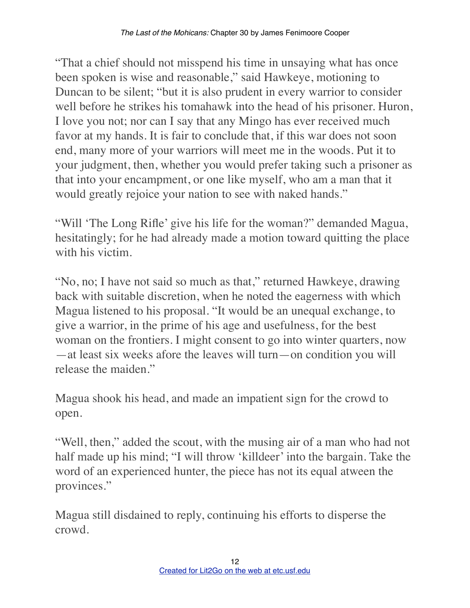"That a chief should not misspend his time in unsaying what has once been spoken is wise and reasonable," said Hawkeye, motioning to Duncan to be silent; "but it is also prudent in every warrior to consider well before he strikes his tomahawk into the head of his prisoner. Huron, I love you not; nor can I say that any Mingo has ever received much favor at my hands. It is fair to conclude that, if this war does not soon end, many more of your warriors will meet me in the woods. Put it to your judgment, then, whether you would prefer taking such a prisoner as that into your encampment, or one like myself, who am a man that it would greatly rejoice your nation to see with naked hands."

"Will 'The Long Rifle' give his life for the woman?" demanded Magua, hesitatingly; for he had already made a motion toward quitting the place with his victim.

"No, no; I have not said so much as that," returned Hawkeye, drawing back with suitable discretion, when he noted the eagerness with which Magua listened to his proposal. "It would be an unequal exchange, to give a warrior, in the prime of his age and usefulness, for the best woman on the frontiers. I might consent to go into winter quarters, now —at least six weeks afore the leaves will turn—on condition you will release the maiden."

Magua shook his head, and made an impatient sign for the crowd to open.

"Well, then," added the scout, with the musing air of a man who had not half made up his mind; "I will throw 'killdeer' into the bargain. Take the word of an experienced hunter, the piece has not its equal atween the provinces."

Magua still disdained to reply, continuing his efforts to disperse the crowd.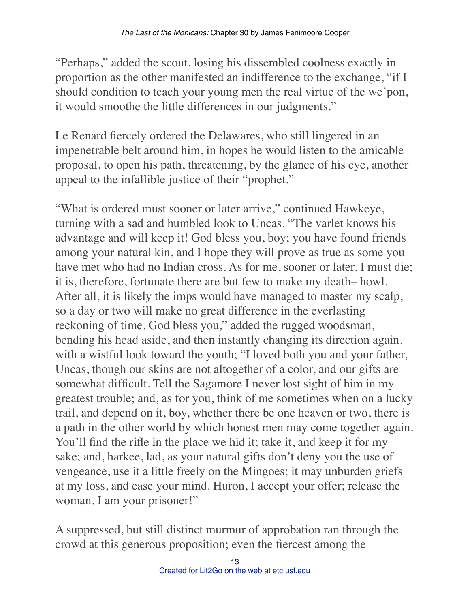"Perhaps," added the scout, losing his dissembled coolness exactly in proportion as the other manifested an indifference to the exchange, "if I should condition to teach your young men the real virtue of the we'pon, it would smoothe the little differences in our judgments."

Le Renard fiercely ordered the Delawares, who still lingered in an impenetrable belt around him, in hopes he would listen to the amicable proposal, to open his path, threatening, by the glance of his eye, another appeal to the infallible justice of their "prophet."

"What is ordered must sooner or later arrive," continued Hawkeye, turning with a sad and humbled look to Uncas. "The varlet knows his advantage and will keep it! God bless you, boy; you have found friends among your natural kin, and I hope they will prove as true as some you have met who had no Indian cross. As for me, sooner or later, I must die; it is, therefore, fortunate there are but few to make my death– howl. After all, it is likely the imps would have managed to master my scalp, so a day or two will make no great difference in the everlasting reckoning of time. God bless you," added the rugged woodsman, bending his head aside, and then instantly changing its direction again, with a wistful look toward the youth; "I loved both you and your father, Uncas, though our skins are not altogether of a color, and our gifts are somewhat difficult. Tell the Sagamore I never lost sight of him in my greatest trouble; and, as for you, think of me sometimes when on a lucky trail, and depend on it, boy, whether there be one heaven or two, there is a path in the other world by which honest men may come together again. You'll find the rifle in the place we hid it; take it, and keep it for my sake; and, harkee, lad, as your natural gifts don't deny you the use of vengeance, use it a little freely on the Mingoes; it may unburden griefs at my loss, and ease your mind. Huron, I accept your offer; release the woman. I am your prisoner!"

A suppressed, but still distinct murmur of approbation ran through the crowd at this generous proposition; even the fiercest among the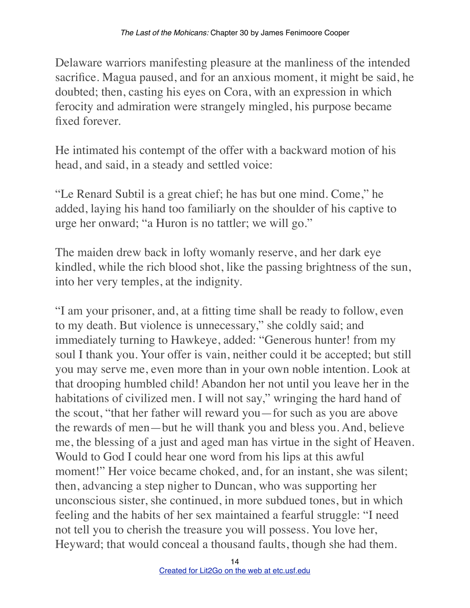Delaware warriors manifesting pleasure at the manliness of the intended sacrifice. Magua paused, and for an anxious moment, it might be said, he doubted; then, casting his eyes on Cora, with an expression in which ferocity and admiration were strangely mingled, his purpose became fixed forever.

He intimated his contempt of the offer with a backward motion of his head, and said, in a steady and settled voice:

"Le Renard Subtil is a great chief; he has but one mind. Come," he added, laying his hand too familiarly on the shoulder of his captive to urge her onward; "a Huron is no tattler; we will go."

The maiden drew back in lofty womanly reserve, and her dark eye kindled, while the rich blood shot, like the passing brightness of the sun, into her very temples, at the indignity.

"I am your prisoner, and, at a fitting time shall be ready to follow, even to my death. But violence is unnecessary," she coldly said; and immediately turning to Hawkeye, added: "Generous hunter! from my soul I thank you. Your offer is vain, neither could it be accepted; but still you may serve me, even more than in your own noble intention. Look at that drooping humbled child! Abandon her not until you leave her in the habitations of civilized men. I will not say," wringing the hard hand of the scout, "that her father will reward you—for such as you are above the rewards of men—but he will thank you and bless you. And, believe me, the blessing of a just and aged man has virtue in the sight of Heaven. Would to God I could hear one word from his lips at this awful moment!" Her voice became choked, and, for an instant, she was silent; then, advancing a step nigher to Duncan, who was supporting her unconscious sister, she continued, in more subdued tones, but in which feeling and the habits of her sex maintained a fearful struggle: "I need not tell you to cherish the treasure you will possess. You love her, Heyward; that would conceal a thousand faults, though she had them.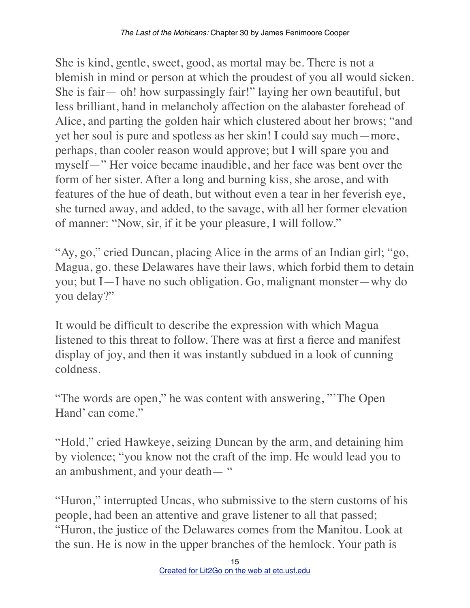She is kind, gentle, sweet, good, as mortal may be. There is not a blemish in mind or person at which the proudest of you all would sicken. She is fair— oh! how surpassingly fair!" laying her own beautiful, but less brilliant, hand in melancholy affection on the alabaster forehead of Alice, and parting the golden hair which clustered about her brows; "and yet her soul is pure and spotless as her skin! I could say much—more, perhaps, than cooler reason would approve; but I will spare you and myself—" Her voice became inaudible, and her face was bent over the form of her sister. After a long and burning kiss, she arose, and with features of the hue of death, but without even a tear in her feverish eye, she turned away, and added, to the savage, with all her former elevation of manner: "Now, sir, if it be your pleasure, I will follow."

"Ay, go," cried Duncan, placing Alice in the arms of an Indian girl; "go, Magua, go. these Delawares have their laws, which forbid them to detain you; but I—I have no such obligation. Go, malignant monster—why do you delay?"

It would be difficult to describe the expression with which Magua listened to this threat to follow. There was at first a fierce and manifest display of joy, and then it was instantly subdued in a look of cunning coldness.

"The words are open," he was content with answering, "'The Open Hand' can come."

"Hold," cried Hawkeye, seizing Duncan by the arm, and detaining him by violence; "you know not the craft of the imp. He would lead you to an ambushment, and your death— "

"Huron," interrupted Uncas, who submissive to the stern customs of his people, had been an attentive and grave listener to all that passed; "Huron, the justice of the Delawares comes from the Manitou. Look at the sun. He is now in the upper branches of the hemlock. Your path is